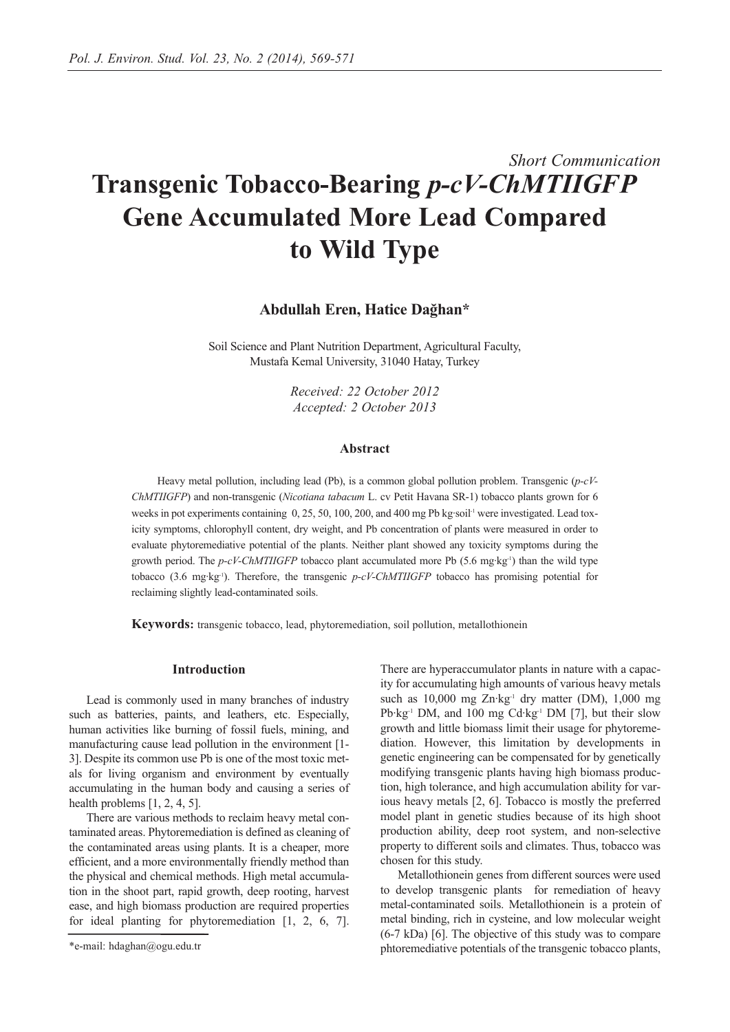# *Short Communication* **Transgenic Tobacco-Bearing** *p-cV-ChMTIIGFP* **Gene Accumulated More Lead Compared to Wild Type**

**Abdullah Eren, Hatice Dağhan\***

Soil Science and Plant Nutrition Department, Agricultural Faculty, Mustafa Kemal University, 31040 Hatay, Turkey

> *Received: 22 October 2012 Accepted: 2 October 2013*

# **Abstract**

Heavy metal pollution, including lead (Pb), is a common global pollution problem. Transgenic (*p-cV-ChMTIIGFP*) and non-transgenic (*Nicotiana tabacum* L. cv Petit Havana SR-1) tobacco plants grown for 6 weeks in pot experiments containing  $0, 25, 50, 100, 200$ , and 400 mg Pb kg·soil<sup>-1</sup> were investigated. Lead toxicity symptoms, chlorophyll content, dry weight, and Pb concentration of plants were measured in order to evaluate phytoremediative potential of the plants. Neither plant showed any toxicity symptoms during the growth period. The *p-cV-ChMTIIGFP* tobacco plant accumulated more Pb (5.6 mg·kg-1) than the wild type tobacco (3.6 mg·kg-1). Therefore, the transgenic *p-cV-ChMTIIGFP* tobacco has promising potential for reclaiming slightly lead-contaminated soils.

**Keywords:** transgenic tobacco, lead, phytoremediation, soil pollution, metallothionein

# **Introduction**

Lead is commonly used in many branches of industry such as batteries, paints, and leathers, etc. Especially, human activities like burning of fossil fuels, mining, and manufacturing cause lead pollution in the environment [1- 3]. Despite its common use Pb is one of the most toxic metals for living organism and environment by eventually accumulating in the human body and causing a series of health problems [1, 2, 4, 5].

There are various methods to reclaim heavy metal contaminated areas. Phytoremediation is defined as cleaning of the contaminated areas using plants. It is a cheaper, more efficient, and a more environmentally friendly method than the physical and chemical methods. High metal accumulation in the shoot part, rapid growth, deep rooting, harvest ease, and high biomass production are required properties for ideal planting for phytoremediation [1, 2, 6, 7].

There are hyperaccumulator plants in nature with a capacity for accumulating high amounts of various heavy metals such as 10,000 mg Zn·kg<sup>-1</sup> dry matter (DM), 1,000 mg Pb·kg<sup>-1</sup> DM, and 100 mg Cd·kg<sup>-1</sup> DM [7], but their slow growth and little biomass limit their usage for phytoremediation. However, this limitation by developments in genetic engineering can be compensated for by genetically modifying transgenic plants having high biomass production, high tolerance, and high accumulation ability for various heavy metals [2, 6]. Tobacco is mostly the preferred model plant in genetic studies because of its high shoot production ability, deep root system, and non-selective property to different soils and climates. Thus, tobacco was chosen for this study.

Metallothionein genes from different sources were used to develop transgenic plants for remediation of heavy metal-contaminated soils. Metallothionein is a protein of metal binding, rich in cysteine, and low molecular weight (6-7 kDa) [6]. The objective of this study was to compare phtoremediative potentials of the transgenic tobacco plants,

<sup>\*</sup>e-mail: hdaghan@ogu.edu.tr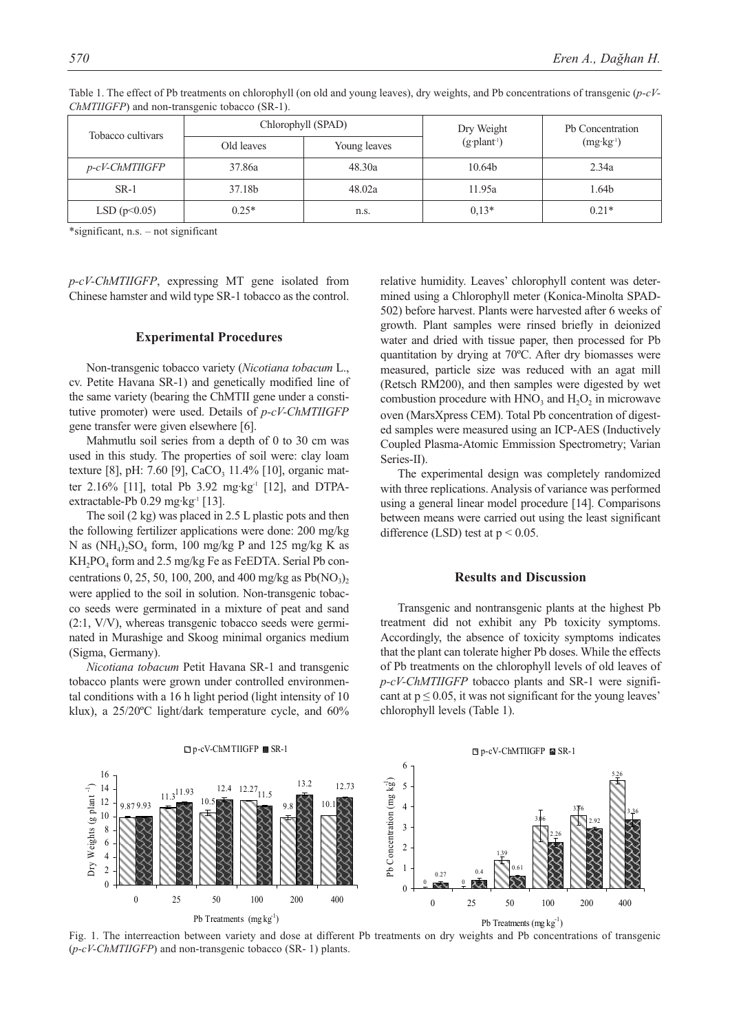| Tobacco cultivars | Chlorophyll (SPAD) |              | Dry Weight         | Ph Concentration     |
|-------------------|--------------------|--------------|--------------------|----------------------|
|                   | Old leaves         | Young leaves | $(g\text{-}plan1)$ | $(mg \cdot kg^{-1})$ |
| p-cV-ChMTIIGFP    | 37.86a             | 48.30a       | 10.64b             | 2.34a                |
| $SR-1$            | 37.18b             | 48.02a       | 11.95a             | 1.64b                |
| LSD $(p<0.05)$    | $0.25*$            | n.s.         | $0.13*$            | $0.21*$              |

Table 1. The effect of Pb treatments on chlorophyll (on old and young leaves), dry weights, and Pb concentrations of transgenic (*p-cV-ChMTIIGFP*) and non-transgenic tobacco (SR-1).

\*significant, n.s. – not significant

*p-cV-ChMTIIGFP*, expressing MT gene isolated from Chinese hamster and wild type SR-1 tobacco as the control.

### **Experimental Procedures**

Non-transgenic tobacco variety (*Nicotiana tobacum* L., cv. Petite Havana SR-1) and genetically modified line of the same variety (bearing the ChMTII gene under a constitutive promoter) were used. Details of *p-cV-ChMTIIGFP* gene transfer were given elsewhere [6].

Mahmutlu soil series from a depth of 0 to 30 cm was used in this study. The properties of soil were: clay loam texture [8], pH: 7.60 [9], CaCO<sub>3</sub> 11.4% [10], organic matter 2.16% [11], total Pb 3.92 mg·kg<sup>-1</sup> [12], and DTPAextractable-Pb 0.29 mg·kg<sup>-1</sup> [13].

The soil (2 kg) was placed in 2.5 L plastic pots and then the following fertilizer applications were done: 200 mg/kg N as  $(NH_4)$ ,  $SO_4$  form, 100 mg/kg P and 125 mg/kg K as KH2PO4 form and 2.5 mg/kg Fe as FeEDTA. Serial Pb concentrations 0, 25, 50, 100, 200, and 400 mg/kg as  $Pb(NO_3)$ , were applied to the soil in solution. Non-transgenic tobacco seeds were germinated in a mixture of peat and sand (2:1, V/V), whereas transgenic tobacco seeds were germinated in Murashige and Skoog minimal organics medium (Sigma, Germany).

*Nicotiana tobacum* Petit Havana SR-1 and transgenic tobacco plants were grown under controlled environmental conditions with a 16 h light period (light intensity of 10 klux), a 25/20ºC light/dark temperature cycle, and 60% relative humidity. Leaves' chlorophyll content was determined using a Chlorophyll meter (Konica-Minolta SPAD-502) before harvest. Plants were harvested after 6 weeks of growth. Plant samples were rinsed briefly in deionized water and dried with tissue paper, then processed for Pb quantitation by drying at 70ºC. After dry biomasses were measured, particle size was reduced with an agat mill (Retsch RM200), and then samples were digested by wet combustion procedure with  $HNO<sub>3</sub>$  and  $H<sub>2</sub>O<sub>2</sub>$  in microwave oven (MarsXpress CEM). Total Pb concentration of digested samples were measured using an ICP-AES (Inductively Coupled Plasma-Atomic Emmission Spectrometry; Varian Series-II).

The experimental design was completely randomized with three replications. Analysis of variance was performed using a general linear model procedure [14]. Comparisons between means were carried out using the least significant difference (LSD) test at  $p < 0.05$ .

### **Results and Discussion**

Transgenic and nontransgenic plants at the highest Pb treatment did not exhibit any Pb toxicity symptoms. Accordingly, the absence of toxicity symptoms indicates that the plant can tolerate higher Pb doses. While the effects of Pb treatments on the chlorophyll levels of old leaves of *p-cV-ChMTIIGFP* tobacco plants and SR-1 were significant at  $p \le 0.05$ , it was not significant for the young leaves' chlorophyll levels (Table 1).



Fig. 1. The interreaction between variety and dose at different Pb treatments on dry weights and Pb concentrations of transgenic (*p-cV-ChMTIIGFP*) and non-transgenic tobacco (SR- 1) plants.